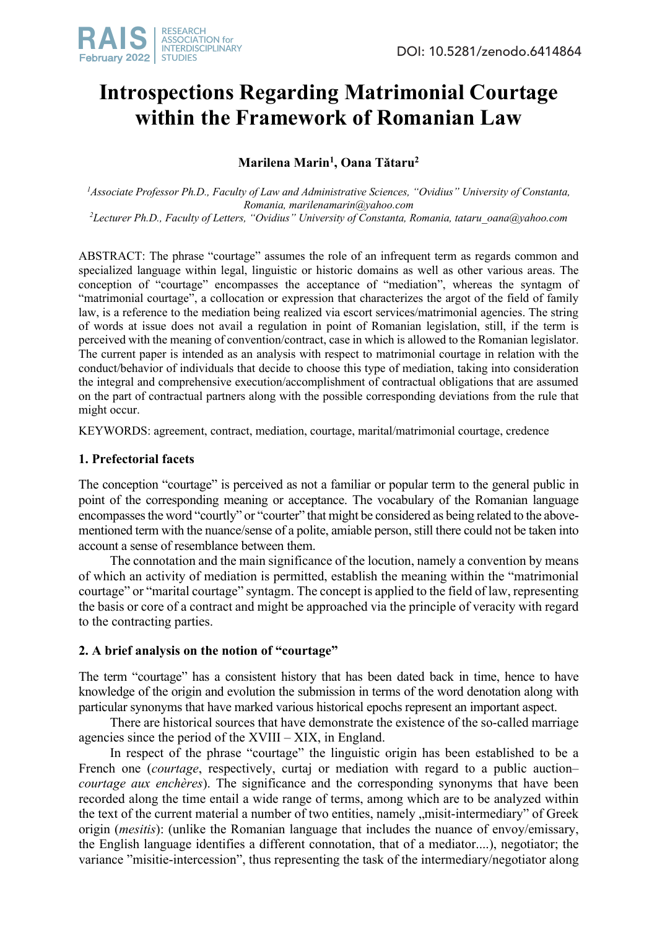# **Introspections Regarding Matrimonial Courtage within the Framework of Romanian Law**

**Marilena Marin1 , Oana Tătaru2**

<sup>1</sup> Associate Professor Ph.D., Faculty of Law and Administrative Sciences, "Ovidius" University of Constanta, *Romania, marilenamarin@yahoo.com 2 Lecturer Ph.D., Faculty of Letters, "Ovidius" University of Constanta, Romania, tataru\_oana@yahoo.com*

ABSTRACT: The phrase "courtage" assumes the role of an infrequent term as regards common and specialized language within legal, linguistic or historic domains as well as other various areas. The conception of "courtage" encompasses the acceptance of "mediation", whereas the syntagm of "matrimonial courtage", a collocation or expression that characterizes the argot of the field of family law, is a reference to the mediation being realized via escort services/matrimonial agencies. The string of words at issue does not avail a regulation in point of Romanian legislation, still, if the term is perceived with the meaning of convention/contract, case in which is allowed to the Romanian legislator. The current paper is intended as an analysis with respect to matrimonial courtage in relation with the conduct/behavior of individuals that decide to choose this type of mediation, taking into consideration the integral and comprehensive execution/accomplishment of contractual obligations that are assumed on the part of contractual partners along with the possible corresponding deviations from the rule that might occur.

KEYWORDS: agreement, contract, mediation, courtage, marital/matrimonial courtage, credence

## **1. Prefectorial facets**

The conception "courtage" is perceived as not a familiar or popular term to the general public in point of the corresponding meaning or acceptance. The vocabulary of the Romanian language encompasses the word "courtly" or "courter" that might be considered as being related to the abovementioned term with the nuance/sense of a polite, amiable person, still there could not be taken into account a sense of resemblance between them.

The connotation and the main significance of the locution, namely a convention by means of which an activity of mediation is permitted, establish the meaning within the "matrimonial courtage" or "marital courtage" syntagm. The concept is applied to the field of law, representing the basis or core of a contract and might be approached via the principle of veracity with regard to the contracting parties.

# **2. A brief analysis on the notion of "courtage"**

The term "courtage" has a consistent history that has been dated back in time, hence to have knowledge of the origin and evolution the submission in terms of the word denotation along with particular synonyms that have marked various historical epochs represent an important aspect.

There are historical sources that have demonstrate the existence of the so-called marriage agencies since the period of the XVIII – XIX, in England.

In respect of the phrase "courtage" the linguistic origin has been established to be a French one (*courtage*, respectively, curtaj or mediation with regard to a public auction– *courtage aux enchères*). The significance and the corresponding synonyms that have been recorded along the time entail a wide range of terms, among which are to be analyzed within the text of the current material a number of two entities, namely , misit-intermediary" of Greek origin (*mesitis*): (unlike the Romanian language that includes the nuance of envoy/emissary, the English language identifies a different connotation, that of a mediator....), negotiator; the variance "misitie-intercession", thus representing the task of the intermediary/negotiator along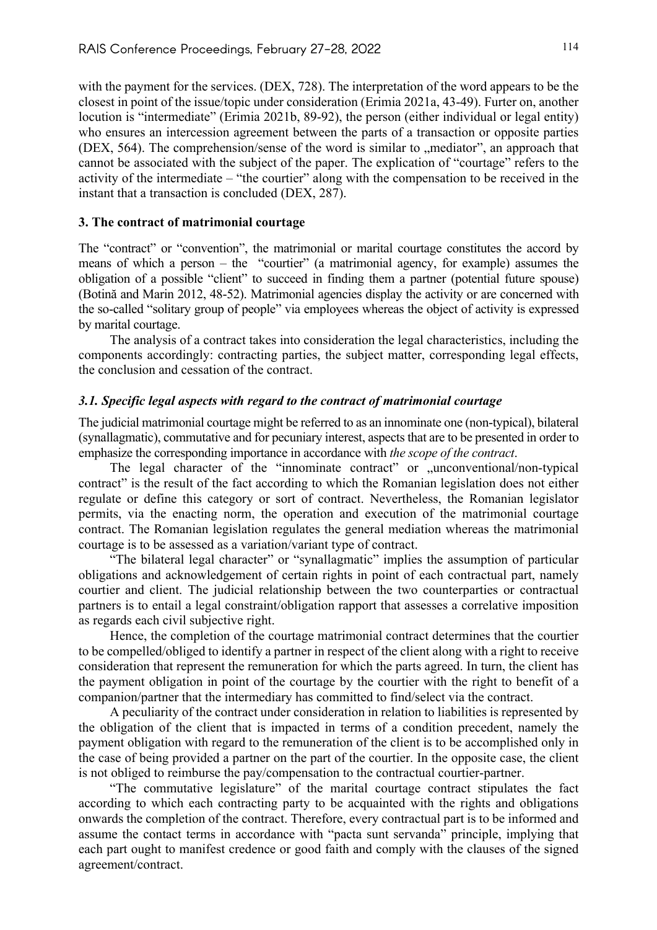with the payment for the services. (DEX, 728). The interpretation of the word appears to be the closest in point of the issue/topic under consideration (Erimia 2021a, 43-49). Furter on, another locution is "intermediate" (Erimia 2021b, 89-92), the person (either individual or legal entity) who ensures an intercession agreement between the parts of a transaction or opposite parties (DEX,  $564$ ). The comprehension/sense of the word is similar to  $\mu$  mediator", an approach that cannot be associated with the subject of the paper. The explication of "courtage" refers to the activity of the intermediate – "the courtier" along with the compensation to be received in the instant that a transaction is concluded (DEX, 287).

### **3. The contract of matrimonial courtage**

The "contract" or "convention", the matrimonial or marital courtage constitutes the accord by means of which a person – the "courtier" (a matrimonial agency, for example) assumes the obligation of a possible "client" to succeed in finding them a partner (potential future spouse) (Botină and Marin 2012, 48-52). Matrimonial agencies display the activity or are concerned with the so-called "solitary group of people" via employees whereas the object of activity is expressed by marital courtage.

The analysis of a contract takes into consideration the legal characteristics, including the components accordingly: contracting parties, the subject matter, corresponding legal effects, the conclusion and cessation of the contract.

## *3.1. Specific legal aspects with regard to the contract of matrimonial courtage*

The judicial matrimonial courtage might be referred to as an innominate one (non-typical), bilateral (synallagmatic), commutative and for pecuniary interest, aspects that are to be presented in order to emphasize the corresponding importance in accordance with *the scope of the contract*.

The legal character of the "innominate contract" or .unconventional/non-typical contract" is the result of the fact according to which the Romanian legislation does not either regulate or define this category or sort of contract. Nevertheless, the Romanian legislator permits, via the enacting norm, the operation and execution of the matrimonial courtage contract. The Romanian legislation regulates the general mediation whereas the matrimonial courtage is to be assessed as a variation/variant type of contract.

"The bilateral legal character" or "synallagmatic" implies the assumption of particular obligations and acknowledgement of certain rights in point of each contractual part, namely courtier and client. The judicial relationship between the two counterparties or contractual partners is to entail a legal constraint/obligation rapport that assesses a correlative imposition as regards each civil subjective right.

Hence, the completion of the courtage matrimonial contract determines that the courtier to be compelled/obliged to identify a partner in respect of the client along with a right to receive consideration that represent the remuneration for which the parts agreed. In turn, the client has the payment obligation in point of the courtage by the courtier with the right to benefit of a companion/partner that the intermediary has committed to find/select via the contract.

A peculiarity of the contract under consideration in relation to liabilities is represented by the obligation of the client that is impacted in terms of a condition precedent, namely the payment obligation with regard to the remuneration of the client is to be accomplished only in the case of being provided a partner on the part of the courtier. In the opposite case, the client is not obliged to reimburse the pay/compensation to the contractual courtier-partner.

"The commutative legislature" of the marital courtage contract stipulates the fact according to which each contracting party to be acquainted with the rights and obligations onwards the completion of the contract. Therefore, every contractual part is to be informed and assume the contact terms in accordance with "pacta sunt servanda" principle, implying that each part ought to manifest credence or good faith and comply with the clauses of the signed agreement/contract.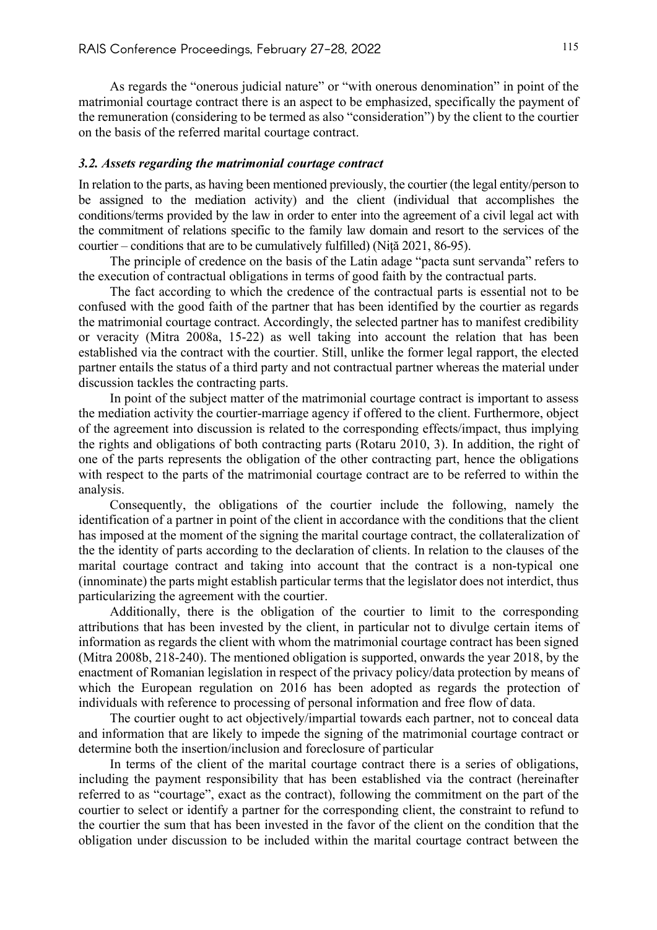As regards the "onerous judicial nature" or "with onerous denomination" in point of the matrimonial courtage contract there is an aspect to be emphasized, specifically the payment of the remuneration (considering to be termed as also "consideration") by the client to the courtier on the basis of the referred marital courtage contract.

### *3.2. Assets regarding the matrimonial courtage contract*

In relation to the parts, as having been mentioned previously, the courtier (the legal entity/person to be assigned to the mediation activity) and the client (individual that accomplishes the conditions/terms provided by the law in order to enter into the agreement of a civil legal act with the commitment of relations specific to the family law domain and resort to the services of the courtier – conditions that are to be cumulatively fulfilled) (Niță 2021, 86-95).

The principle of credence on the basis of the Latin adage "pacta sunt servanda" refers to the execution of contractual obligations in terms of good faith by the contractual parts.

The fact according to which the credence of the contractual parts is essential not to be confused with the good faith of the partner that has been identified by the courtier as regards the matrimonial courtage contract. Accordingly, the selected partner has to manifest credibility or veracity (Mitra 2008a, 15-22) as well taking into account the relation that has been established via the contract with the courtier. Still, unlike the former legal rapport, the elected partner entails the status of a third party and not contractual partner whereas the material under discussion tackles the contracting parts.

In point of the subject matter of the matrimonial courtage contract is important to assess the mediation activity the courtier-marriage agency if offered to the client. Furthermore, object of the agreement into discussion is related to the corresponding effects/impact, thus implying the rights and obligations of both contracting parts (Rotaru 2010, 3). In addition, the right of one of the parts represents the obligation of the other contracting part, hence the obligations with respect to the parts of the matrimonial courtage contract are to be referred to within the analysis.

Consequently, the obligations of the courtier include the following, namely the identification of a partner in point of the client in accordance with the conditions that the client has imposed at the moment of the signing the marital courtage contract, the collateralization of the the identity of parts according to the declaration of clients. In relation to the clauses of the marital courtage contract and taking into account that the contract is a non-typical one (innominate) the parts might establish particular terms that the legislator does not interdict, thus particularizing the agreement with the courtier.

Additionally, there is the obligation of the courtier to limit to the corresponding attributions that has been invested by the client, in particular not to divulge certain items of information as regards the client with whom the matrimonial courtage contract has been signed (Mitra 2008b, 218-240). The mentioned obligation is supported, onwards the year 2018, by the enactment of Romanian legislation in respect of the privacy policy/data protection by means of which the European regulation on 2016 has been adopted as regards the protection of individuals with reference to processing of personal information and free flow of data.

The courtier ought to act objectively/impartial towards each partner, not to conceal data and information that are likely to impede the signing of the matrimonial courtage contract or determine both the insertion/inclusion and foreclosure of particular

In terms of the client of the marital courtage contract there is a series of obligations, including the payment responsibility that has been established via the contract (hereinafter referred to as "courtage", exact as the contract), following the commitment on the part of the courtier to select or identify a partner for the corresponding client, the constraint to refund to the courtier the sum that has been invested in the favor of the client on the condition that the obligation under discussion to be included within the marital courtage contract between the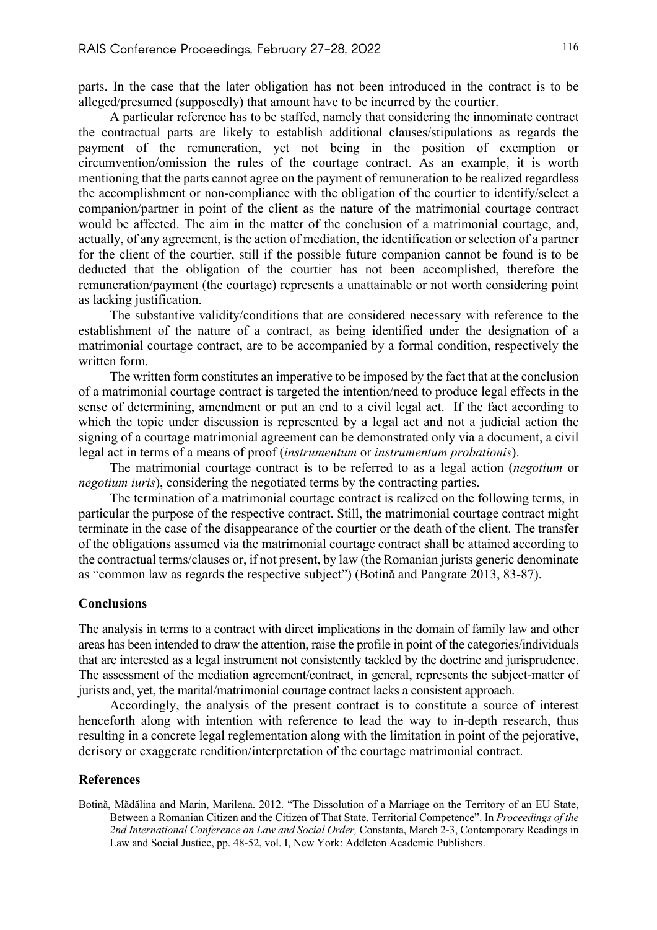parts. In the case that the later obligation has not been introduced in the contract is to be alleged/presumed (supposedly) that amount have to be incurred by the courtier.

A particular reference has to be staffed, namely that considering the innominate contract the contractual parts are likely to establish additional clauses/stipulations as regards the payment of the remuneration, yet not being in the position of exemption or circumvention/omission the rules of the courtage contract. As an example, it is worth mentioning that the parts cannot agree on the payment of remuneration to be realized regardless the accomplishment or non-compliance with the obligation of the courtier to identify/select a companion/partner in point of the client as the nature of the matrimonial courtage contract would be affected. The aim in the matter of the conclusion of a matrimonial courtage, and, actually, of any agreement, is the action of mediation, the identification or selection of a partner for the client of the courtier, still if the possible future companion cannot be found is to be deducted that the obligation of the courtier has not been accomplished, therefore the remuneration/payment (the courtage) represents a unattainable or not worth considering point as lacking justification.

The substantive validity/conditions that are considered necessary with reference to the establishment of the nature of a contract, as being identified under the designation of a matrimonial courtage contract, are to be accompanied by a formal condition, respectively the written form.

The written form constitutes an imperative to be imposed by the fact that at the conclusion of a matrimonial courtage contract is targeted the intention/need to produce legal effects in the sense of determining, amendment or put an end to a civil legal act. If the fact according to which the topic under discussion is represented by a legal act and not a judicial action the signing of a courtage matrimonial agreement can be demonstrated only via a document, a civil legal act in terms of a means of proof (*instrumentum* or *instrumentum probationis*).

The matrimonial courtage contract is to be referred to as a legal action (*negotium* or *negotium iuris*), considering the negotiated terms by the contracting parties.

The termination of a matrimonial courtage contract is realized on the following terms, in particular the purpose of the respective contract. Still, the matrimonial courtage contract might terminate in the case of the disappearance of the courtier or the death of the client. The transfer of the obligations assumed via the matrimonial courtage contract shall be attained according to the contractual terms/clauses or, if not present, by law (the Romanian jurists generic denominate as "common law as regards the respective subject") (Botină and Pangrate 2013, 83-87).

#### **Conclusions**

The analysis in terms to a contract with direct implications in the domain of family law and other areas has been intended to draw the attention, raise the profile in point of the categories/individuals that are interested as a legal instrument not consistently tackled by the doctrine and jurisprudence. The assessment of the mediation agreement/contract, in general, represents the subject-matter of jurists and, yet, the marital/matrimonial courtage contract lacks a consistent approach.

Accordingly, the analysis of the present contract is to constitute a source of interest henceforth along with intention with reference to lead the way to in-depth research, thus resulting in a concrete legal reglementation along with the limitation in point of the pejorative, derisory or exaggerate rendition/interpretation of the courtage matrimonial contract.

#### **References**

Botină, Mădălina and Marin, Marilena. 2012. "The Dissolution of a Marriage on the Territory of an EU State, Between a Romanian Citizen and the Citizen of That State. Territorial Competence". In *Proceedings of the 2nd International Conference on Law and Social Order,* Constanta, March 2-3, Contemporary Readings in Law and Social Justice, pp. 48-52, vol. I, New York: Addleton Academic Publishers.